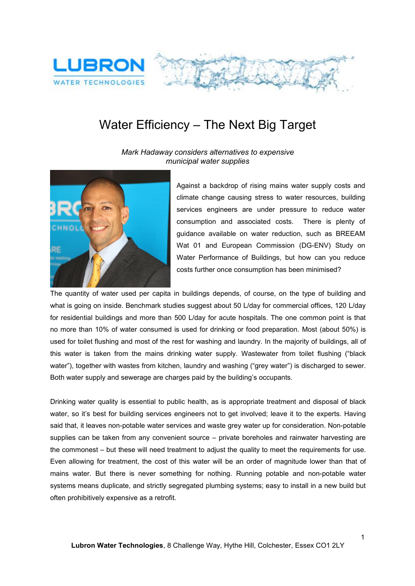

## Water Efficiency – The Next Big Target

*Mark Hadaway considers alternatives to expensive municipal water supplies*



Against a backdrop of rising mains water supply costs and climate change causing stress to water resources, building services engineers are under pressure to reduce water consumption and associated costs. There is plenty of guidance available on water reduction, such as BREEAM Wat 01 and European Commission (DG-ENV) Study on Water Performance of Buildings, but how can you reduce costs further once consumption has been minimised?

The quantity of water used per capita in buildings depends, of course, on the type of building and what is going on inside. Benchmark studies suggest about 50 L/day for commercial offices, 120 L/day for residential buildings and more than 500 L/day for acute hospitals. The one common point is that no more than 10% of water consumed is used for drinking or food preparation. Most (about 50%) is used for toilet flushing and most of the rest for washing and laundry. In the majority of buildings, all of this water is taken from the mains drinking water supply. Wastewater from toilet flushing ("black water"), together with wastes from kitchen, laundry and washing ("grey water") is discharged to sewer. Both water supply and sewerage are charges paid by the building's occupants.

Drinking water quality is essential to public health, as is appropriate treatment and disposal of black water, so it's best for building services engineers not to get involved; leave it to the experts. Having said that, it leaves non-potable water services and waste grey water up for consideration. Non-potable supplies can be taken from any convenient source – private boreholes and rainwater harvesting are the commonest – but these will need treatment to adjust the quality to meet the requirements for use. Even allowing for treatment, the cost of this water will be an order of magnitude lower than that of mains water. But there is never something for nothing. Running potable and non-potable water systems means duplicate, and strictly segregated plumbing systems; easy to install in a new build but often prohibitively expensive as a retrofit.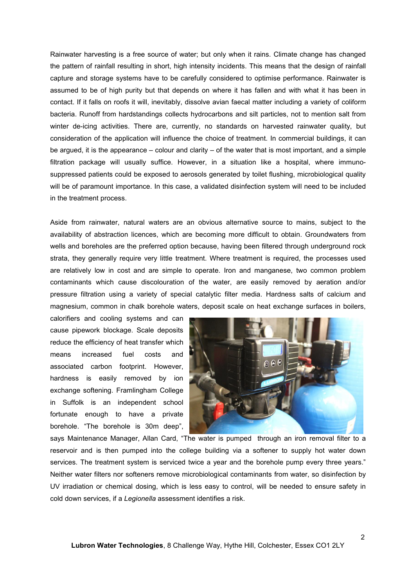Rainwater harvesting is a free source of water; but only when it rains. Climate change has changed the pattern of rainfall resulting in short, high intensity incidents. This means that the design of rainfall capture and storage systems have to be carefully considered to optimise performance. Rainwater is assumed to be of high purity but that depends on where it has fallen and with what it has been in contact. If it falls on roofs it will, inevitably, dissolve avian faecal matter including a variety of coliform bacteria. Runoff from hardstandings collects hydrocarbons and silt particles, not to mention salt from winter de-icing activities. There are, currently, no standards on harvested rainwater quality, but consideration of the application will influence the choice of treatment. In commercial buildings, it can be argued, it is the appearance – colour and clarity – of the water that is most important, and a simple filtration package will usually suffice. However, in a situation like a hospital, where immuno suppressed patients could be exposed to aerosols generated by toilet flushing, microbiological quality will be of paramount importance. In this case, a validated disinfection system will need to be included in the treatment process.

Aside from rainwater, natural waters are an obvious alternative source to mains, subject to the availability of abstraction licences, which are becoming more difficult to obtain. Groundwaters from wells and boreholes are the preferred option because, having been filtered through underground rock strata, they generally require very little treatment. Where treatment is required, the processes used are relatively low in cost and are simple to operate. Iron and manganese, two common problem contaminants which cause discolouration of the water, are easily removed by aeration and/or pressure filtration using a variety of special catalytic filter media. Hardness salts of calcium and magnesium, common in chalk borehole waters, deposit scale on heat exchange surfaces in boilers,

calorifiers and cooling systems and can cause pipework blockage. Scale deposits reduce the efficiency of heat transfer which means increased fuel costs and associated carbon footprint. However, hardness is easily removed by ion exchange softening. Framlingham College in Suffolk is an independent school fortunate enough to have a private borehole. "The borehole is 30m deep",



says Maintenance Manager, Allan Card, "The water is pumped through an iron removal filter to a reservoir and is then pumped into the college building via a softener to supply hot water down services. The treatment system is serviced twice a year and the borehole pump every three years." Neither water filters nor softeners remove microbiological contaminants from water, so disinfection by UV irradiation or chemical dosing, which is less easy to control, will be needed to ensure safety in cold down services, if a *Legionella* assessment identifies a risk.